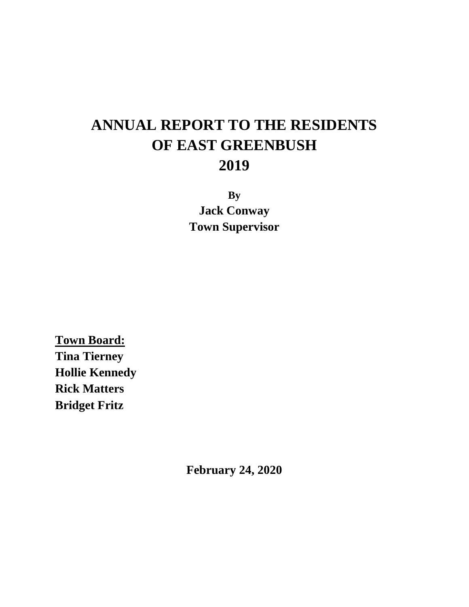# **ANNUAL REPORT TO THE RESIDENTS OF EAST GREENBUSH 2019**

**By Jack Conway Town Supervisor**

**Town Board: Tina Tierney Hollie Kennedy Rick Matters Bridget Fritz**

**February 24, 2020**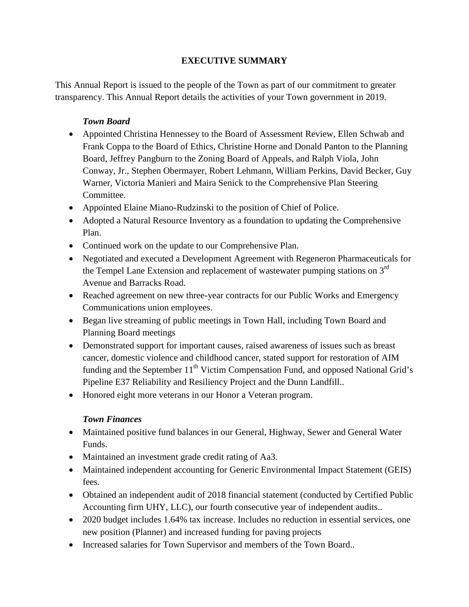# **EXECUTIVE SUMMARY**

This Annual Report is issued to the people of the Town as part of our commitment to greater transparency. This Annual Report details the activities of your Town government in 2019.

# *Town Board*

- Appointed Christina Hennessey to the Board of Assessment Review, Ellen Schwab and Frank Coppa to the Board of Ethics, Christine Horne and Donald Panton to the Planning Board, Jeffrey Pangburn to the Zoning Board of Appeals, and Ralph Viola, John Conway, Jr., Stephen Obermayer, Robert Lehmann, William Perkins, David Becker, Guy Warner, Victoria Manieri and Maira Senick to the Comprehensive Plan Steering Committee.
- Appointed Elaine Miano-Rudzinski to the position of Chief of Police.
- Adopted a Natural Resource Inventory as a foundation to updating the Comprehensive Plan.
- Continued work on the update to our Comprehensive Plan.
- Negotiated and executed a Development Agreement with Regeneron Pharmaceuticals for the Tempel Lane Extension and replacement of wastewater pumping stations on  $3<sup>rd</sup>$ Avenue and Barracks Road.
- Reached agreement on new three-year contracts for our Public Works and Emergency Communications union employees.
- Began live streaming of public meetings in Town Hall, including Town Board and Planning Board meetings
- Demonstrated support for important causes, raised awareness of issues such as breast cancer, domestic violence and childhood cancer, stated support for restoration of AIM funding and the September 11<sup>th</sup> Victim Compensation Fund, and opposed National Grid's Pipeline E37 Reliability and Resiliency Project and the Dunn Landfill..
- Honored eight more veterans in our Honor a Veteran program.

### *Town Finances*

- Maintained positive fund balances in our General, Highway, Sewer and General Water Funds.
- Maintained an investment grade credit rating of Aa3.
- Maintained independent accounting for Generic Environmental Impact Statement (GEIS) fees.
- Obtained an independent audit of 2018 financial statement (conducted by Certified Public Accounting firm UHY, LLC), our fourth consecutive year of independent audits..
- 2020 budget includes 1.64% tax increase. Includes no reduction in essential services, one new position (Planner) and increased funding for paving projects
- Increased salaries for Town Supervisor and members of the Town Board..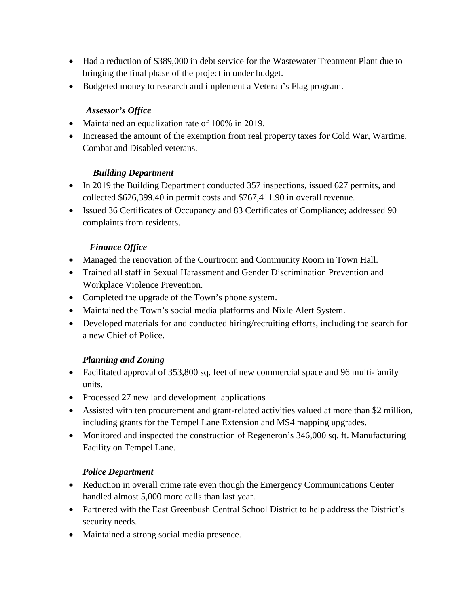- Had a reduction of \$389,000 in debt service for the Wastewater Treatment Plant due to bringing the final phase of the project in under budget.
- Budgeted money to research and implement a Veteran's Flag program.

## *Assessor's Office*

- Maintained an equalization rate of 100% in 2019.
- Increased the amount of the exemption from real property taxes for Cold War, Wartime, Combat and Disabled veterans.

## *Building Department*

- In 2019 the Building Department conducted 357 inspections, issued 627 permits, and collected \$626,399.40 in permit costs and \$767,411.90 in overall revenue.
- Issued 36 Certificates of Occupancy and 83 Certificates of Compliance; addressed 90 complaints from residents.

## *Finance Office*

- Managed the renovation of the Courtroom and Community Room in Town Hall.
- Trained all staff in Sexual Harassment and Gender Discrimination Prevention and Workplace Violence Prevention.
- Completed the upgrade of the Town's phone system.
- Maintained the Town's social media platforms and Nixle Alert System.
- Developed materials for and conducted hiring/recruiting efforts, including the search for a new Chief of Police.

### *Planning and Zoning*

- Facilitated approval of 353,800 sq. feet of new commercial space and 96 multi-family units.
- Processed 27 new land development applications
- Assisted with ten procurement and grant-related activities valued at more than \$2 million, including grants for the Tempel Lane Extension and MS4 mapping upgrades.
- Monitored and inspected the construction of Regeneron's 346,000 sq. ft. Manufacturing Facility on Tempel Lane.

# *Police Department*

- Reduction in overall crime rate even though the Emergency Communications Center handled almost 5,000 more calls than last year.
- Partnered with the East Greenbush Central School District to help address the District's security needs.
- Maintained a strong social media presence.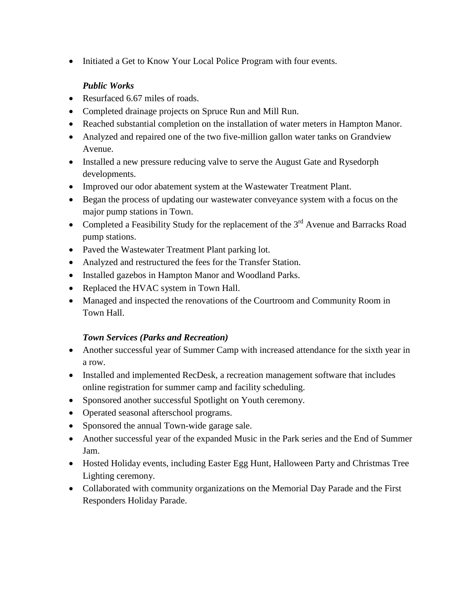• Initiated a Get to Know Your Local Police Program with four events.

# *Public Works*

- Resurfaced 6.67 miles of roads.
- Completed drainage projects on Spruce Run and Mill Run.
- Reached substantial completion on the installation of water meters in Hampton Manor.
- Analyzed and repaired one of the two five-million gallon water tanks on Grandview Avenue.
- Installed a new pressure reducing valve to serve the August Gate and Rysedorph developments.
- Improved our odor abatement system at the Wastewater Treatment Plant.
- Began the process of updating our wastewater conveyance system with a focus on the major pump stations in Town.
- Completed a Feasibility Study for the replacement of the  $3<sup>rd</sup>$  Avenue and Barracks Road pump stations.
- Paved the Wastewater Treatment Plant parking lot.
- Analyzed and restructured the fees for the Transfer Station.
- Installed gazebos in Hampton Manor and Woodland Parks.
- Replaced the HVAC system in Town Hall.
- Managed and inspected the renovations of the Courtroom and Community Room in Town Hall.

# *Town Services (Parks and Recreation)*

- Another successful year of Summer Camp with increased attendance for the sixth year in a row.
- Installed and implemented RecDesk, a recreation management software that includes online registration for summer camp and facility scheduling.
- Sponsored another successful Spotlight on Youth ceremony.
- Operated seasonal afterschool programs.
- Sponsored the annual Town-wide garage sale.
- Another successful year of the expanded Music in the Park series and the End of Summer Jam.
- Hosted Holiday events, including Easter Egg Hunt, Halloween Party and Christmas Tree Lighting ceremony.
- Collaborated with community organizations on the Memorial Day Parade and the First Responders Holiday Parade.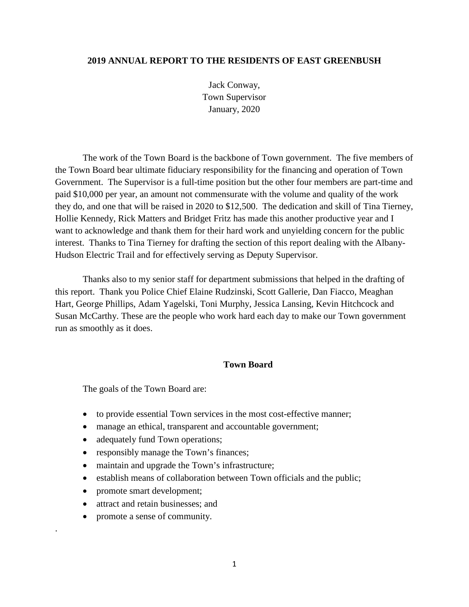### **2019 ANNUAL REPORT TO THE RESIDENTS OF EAST GREENBUSH**

Jack Conway, Town Supervisor January, 2020

The work of the Town Board is the backbone of Town government. The five members of the Town Board bear ultimate fiduciary responsibility for the financing and operation of Town Government. The Supervisor is a full-time position but the other four members are part-time and paid \$10,000 per year, an amount not commensurate with the volume and quality of the work they do, and one that will be raised in 2020 to \$12,500. The dedication and skill of Tina Tierney, Hollie Kennedy, Rick Matters and Bridget Fritz has made this another productive year and I want to acknowledge and thank them for their hard work and unyielding concern for the public interest. Thanks to Tina Tierney for drafting the section of this report dealing with the Albany-Hudson Electric Trail and for effectively serving as Deputy Supervisor.

Thanks also to my senior staff for department submissions that helped in the drafting of this report. Thank you Police Chief Elaine Rudzinski, Scott Gallerie, Dan Fiacco, Meaghan Hart, George Phillips, Adam Yagelski, Toni Murphy, Jessica Lansing, Kevin Hitchcock and Susan McCarthy. These are the people who work hard each day to make our Town government run as smoothly as it does.

### **Town Board**

The goals of the Town Board are:

- to provide essential Town services in the most cost-effective manner;
- manage an ethical, transparent and accountable government;
- adequately fund Town operations;
- responsibly manage the Town's finances;
- maintain and upgrade the Town's infrastructure;
- establish means of collaboration between Town officials and the public;
- promote smart development;

.

- attract and retain businesses: and
- promote a sense of community.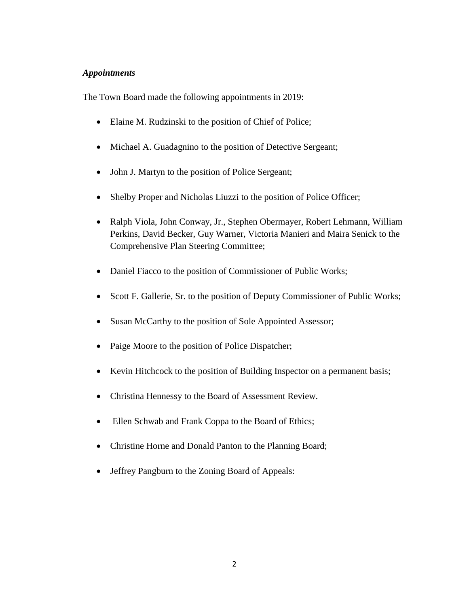### *Appointments*

The Town Board made the following appointments in 2019:

- Elaine M. Rudzinski to the position of Chief of Police;
- Michael A. Guadagnino to the position of Detective Sergeant;
- John J. Martyn to the position of Police Sergeant;
- Shelby Proper and Nicholas Liuzzi to the position of Police Officer;
- Ralph Viola, John Conway, Jr., Stephen Obermayer, Robert Lehmann, William Perkins, David Becker, Guy Warner, Victoria Manieri and Maira Senick to the Comprehensive Plan Steering Committee;
- Daniel Fiacco to the position of Commissioner of Public Works;
- Scott F. Gallerie, Sr. to the position of Deputy Commissioner of Public Works;
- Susan McCarthy to the position of Sole Appointed Assessor;
- Paige Moore to the position of Police Dispatcher;
- Kevin Hitchcock to the position of Building Inspector on a permanent basis;
- Christina Hennessy to the Board of Assessment Review.
- Ellen Schwab and Frank Coppa to the Board of Ethics;
- Christine Horne and Donald Panton to the Planning Board;
- Jeffrey Pangburn to the Zoning Board of Appeals: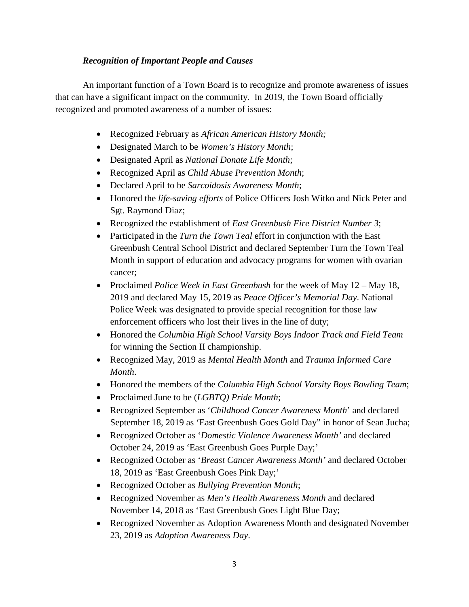### *Recognition of Important People and Causes*

An important function of a Town Board is to recognize and promote awareness of issues that can have a significant impact on the community. In 2019, the Town Board officially recognized and promoted awareness of a number of issues:

- Recognized February as *African American History Month;*
- Designated March to be *Women's History Month*;
- Designated April as *National Donate Life Month*;
- Recognized April as *Child Abuse Prevention Month*;
- Declared April to be *Sarcoidosis Awareness Month*;
- Honored the *life-saving efforts* of Police Officers Josh Witko and Nick Peter and Sgt. Raymond Diaz;
- Recognized the establishment of *East Greenbush Fire District Number 3*;
- Participated in the *Turn the Town Teal* effort in conjunction with the East Greenbush Central School District and declared September Turn the Town Teal Month in support of education and advocacy programs for women with ovarian cancer;
- Proclaimed *Police Week in East Greenbush* for the week of May 12 May 18, 2019 and declared May 15, 2019 as *Peace Officer's Memorial Day*. National Police Week was designated to provide special recognition for those law enforcement officers who lost their lives in the line of duty;
- Honored the *Columbia High School Varsity Boys Indoor Track and Field Team* for winning the Section II championship.
- Recognized May, 2019 as *Mental Health Month* and *Trauma Informed Care Month*.
- Honored the members of the *Columbia High School Varsity Boys Bowling Team*;
- Proclaimed June to be (*LGBTQ) Pride Month*;
- Recognized September as '*Childhood Cancer Awareness Month*' and declared September 18, 2019 as 'East Greenbush Goes Gold Day" in honor of Sean Jucha;
- Recognized October as '*Domestic Violence Awareness Month'* and declared October 24, 2019 as 'East Greenbush Goes Purple Day;'
- Recognized October as '*Breast Cancer Awareness Month'* and declared October 18, 2019 as 'East Greenbush Goes Pink Day;'
- Recognized October as *Bullying Prevention Month*;
- Recognized November as *Men's Health Awareness Month* and declared November 14, 2018 as 'East Greenbush Goes Light Blue Day;
- Recognized November as Adoption Awareness Month and designated November 23, 2019 as *Adoption Awareness Day*.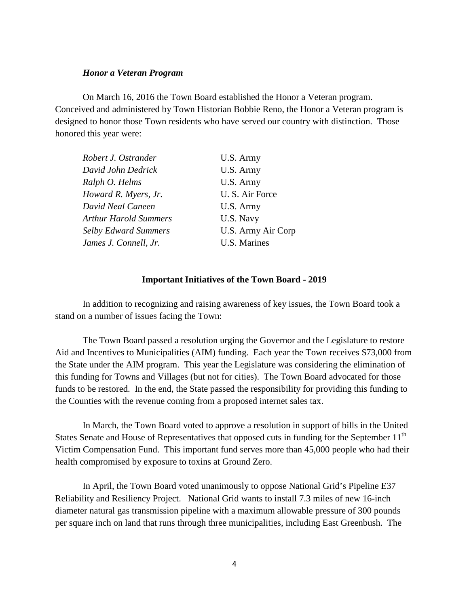#### *Honor a Veteran Program*

On March 16, 2016 the Town Board established the Honor a Veteran program. Conceived and administered by Town Historian Bobbie Reno, the Honor a Veteran program is designed to honor those Town residents who have served our country with distinction. Those honored this year were:

| Robert J. Ostrander          | U.S. Army          |
|------------------------------|--------------------|
| David John Dedrick           | U.S. Army          |
| Ralph O. Helms               | U.S. Army          |
| Howard R. Myers, Jr.         | U. S. Air Force    |
| David Neal Caneen            | U.S. Army          |
| <b>Arthur Harold Summers</b> | U.S. Navy          |
| <b>Selby Edward Summers</b>  | U.S. Army Air Corp |
| James J. Connell, Jr.        | U.S. Marines       |

#### **Important Initiatives of the Town Board - 2019**

In addition to recognizing and raising awareness of key issues, the Town Board took a stand on a number of issues facing the Town:

The Town Board passed a resolution urging the Governor and the Legislature to restore Aid and Incentives to Municipalities (AIM) funding. Each year the Town receives \$73,000 from the State under the AIM program. This year the Legislature was considering the elimination of this funding for Towns and Villages (but not for cities). The Town Board advocated for those funds to be restored. In the end, the State passed the responsibility for providing this funding to the Counties with the revenue coming from a proposed internet sales tax.

In March, the Town Board voted to approve a resolution in support of bills in the United States Senate and House of Representatives that opposed cuts in funding for the September 11<sup>th</sup> Victim Compensation Fund. This important fund serves more than 45,000 people who had their health compromised by exposure to toxins at Ground Zero.

In April, the Town Board voted unanimously to oppose National Grid's Pipeline E37 Reliability and Resiliency Project. National Grid wants to install 7.3 miles of new 16-inch diameter natural gas transmission pipeline with a maximum allowable pressure of 300 pounds per square inch on land that runs through three municipalities, including East Greenbush. The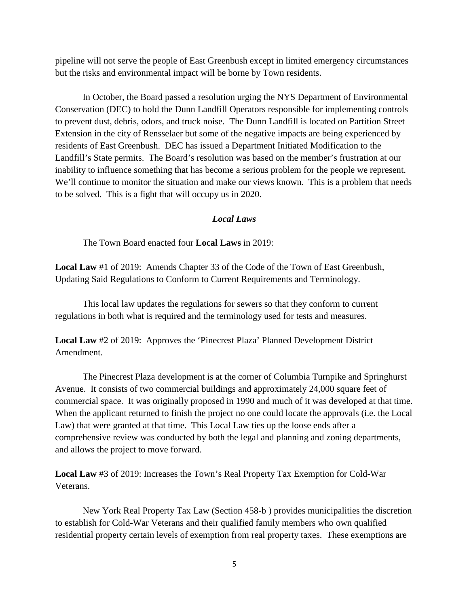pipeline will not serve the people of East Greenbush except in limited emergency circumstances but the risks and environmental impact will be borne by Town residents.

In October, the Board passed a resolution urging the NYS Department of Environmental Conservation (DEC) to hold the Dunn Landfill Operators responsible for implementing controls to prevent dust, debris, odors, and truck noise. The Dunn Landfill is located on Partition Street Extension in the city of Rensselaer but some of the negative impacts are being experienced by residents of East Greenbush. DEC has issued a Department Initiated Modification to the Landfill's State permits. The Board's resolution was based on the member's frustration at our inability to influence something that has become a serious problem for the people we represent. We'll continue to monitor the situation and make our views known. This is a problem that needs to be solved. This is a fight that will occupy us in 2020.

### *Local Laws*

The Town Board enacted four **Local Laws** in 2019:

**Local Law** #1 of 2019: Amends Chapter 33 of the Code of the Town of East Greenbush, Updating Said Regulations to Conform to Current Requirements and Terminology.

This local law updates the regulations for sewers so that they conform to current regulations in both what is required and the terminology used for tests and measures.

**Local Law** #2 of 2019: Approves the 'Pinecrest Plaza' Planned Development District Amendment.

The Pinecrest Plaza development is at the corner of Columbia Turnpike and Springhurst Avenue. It consists of two commercial buildings and approximately 24,000 square feet of commercial space. It was originally proposed in 1990 and much of it was developed at that time. When the applicant returned to finish the project no one could locate the approvals (i.e. the Local Law) that were granted at that time. This Local Law ties up the loose ends after a comprehensive review was conducted by both the legal and planning and zoning departments, and allows the project to move forward.

**Local Law** #3 of 2019: Increases the Town's Real Property Tax Exemption for Cold-War Veterans.

New York Real Property Tax Law (Section 458-b ) provides municipalities the discretion to establish for Cold-War Veterans and their qualified family members who own qualified residential property certain levels of exemption from real property taxes. These exemptions are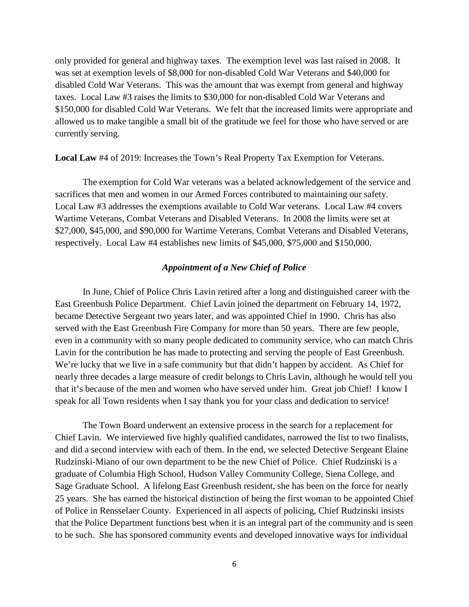only provided for general and highway taxes. The exemption level was last raised in 2008. It was set at exemption levels of \$8,000 for non-disabled Cold War Veterans and \$40,000 for disabled Cold War Veterans. This was the amount that was exempt from general and highway taxes. Local Law #3 raises the limits to \$30,000 for non-disabled Cold War Veterans and \$150,000 for disabled Cold War Veterans. We felt that the increased limits were appropriate and allowed us to make tangible a small bit of the gratitude we feel for those who have served or are currently serving.

**Local Law** #4 of 2019: Increases the Town's Real Property Tax Exemption for Veterans.

The exemption for Cold War veterans was a belated acknowledgement of the service and sacrifices that men and women in our Armed Forces contributed to maintaining our safety. Local Law #3 addresses the exemptions available to Cold War veterans. Local Law #4 covers Wartime Veterans, Combat Veterans and Disabled Veterans. In 2008 the limits were set at \$27,000, \$45,000, and \$90,000 for Wartime Veterans, Combat Veterans and Disabled Veterans, respectively. Local Law #4 establishes new limits of \$45,000, \$75,000 and \$150,000.

### *Appointment of a New Chief of Police*

In June, Chief of Police Chris Lavin retired after a long and distinguished career with the East Greenbush Police Department. Chief Lavin joined the department on February 14, 1972, became Detective Sergeant two years later, and was appointed Chief in 1990. Chris has also served with the East Greenbush Fire Company for more than 50 years. There are few people, even in a community with so many people dedicated to community service, who can match Chris Lavin for the contribution he has made to protecting and serving the people of East Greenbush. We're lucky that we live in a safe community but that didn't happen by accident. As Chief for nearly three decades a large measure of credit belongs to Chris Lavin, although he would tell you that it's because of the men and women who have served under him. Great job Chief! I know I speak for all Town residents when I say thank you for your class and dedication to service!

The Town Board underwent an extensive process in the search for a replacement for Chief Lavin. We interviewed five highly qualified candidates, narrowed the list to two finalists, and did a second interview with each of them. In the end, we selected Detective Sergeant Elaine Rudzinski-Miano of our own department to be the new Chief of Police. Chief Rudzinski is a graduate of Columbia High School, Hudson Valley Community College, Siena College, and Sage Graduate School. A lifelong East Greenbush resident, she has been on the force for nearly 25 years. She has earned the historical distinction of being the first woman to be appointed Chief of Police in Rensselaer County. Experienced in all aspects of policing, Chief Rudzinski insists that the Police Department functions best when it is an integral part of the community and is seen to be such. She has sponsored community events and developed innovative ways for individual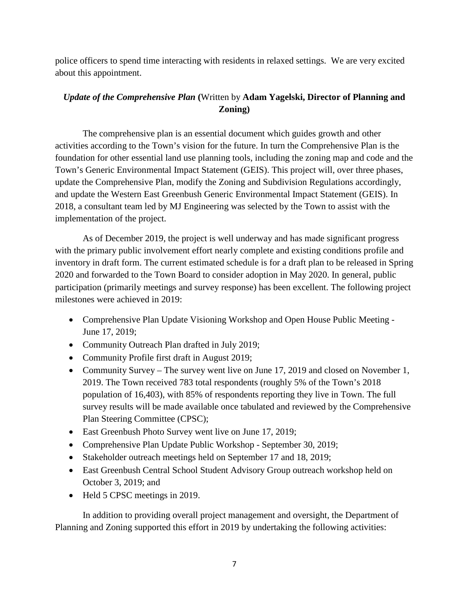police officers to spend time interacting with residents in relaxed settings. We are very excited about this appointment.

# *Update of the Comprehensive Plan* **(**Written by **Adam Yagelski, Director of Planning and Zoning)**

The comprehensive plan is an essential document which guides growth and other activities according to the Town's vision for the future. In turn the Comprehensive Plan is the foundation for other essential land use planning tools, including the zoning map and code and the Town's Generic Environmental Impact Statement (GEIS). This project will, over three phases, update the Comprehensive Plan, modify the Zoning and Subdivision Regulations accordingly, and update the Western East Greenbush Generic Environmental Impact Statement (GEIS). In 2018, a consultant team led by MJ Engineering was selected by the Town to assist with the implementation of the project.

As of December 2019, the project is well underway and has made significant progress with the primary public involvement effort nearly complete and existing conditions profile and inventory in draft form. The current estimated schedule is for a draft plan to be released in Spring 2020 and forwarded to the Town Board to consider adoption in May 2020. In general, public participation (primarily meetings and survey response) has been excellent. The following project milestones were achieved in 2019:

- Comprehensive Plan Update Visioning Workshop and Open House Public Meeting June 17, 2019;
- Community Outreach Plan drafted in July 2019;
- Community Profile first draft in August 2019;
- Community Survey The survey went live on June 17, 2019 and closed on November 1, 2019. The Town received 783 total respondents (roughly 5% of the Town's 2018 population of 16,403), with 85% of respondents reporting they live in Town. The full survey results will be made available once tabulated and reviewed by the Comprehensive Plan Steering Committee (CPSC);
- East Greenbush Photo Survey went live on June 17, 2019;
- Comprehensive Plan Update Public Workshop September 30, 2019;
- Stakeholder outreach meetings held on September 17 and 18, 2019;
- East Greenbush Central School Student Advisory Group outreach workshop held on October 3, 2019; and
- Held 5 CPSC meetings in 2019.

In addition to providing overall project management and oversight, the Department of Planning and Zoning supported this effort in 2019 by undertaking the following activities: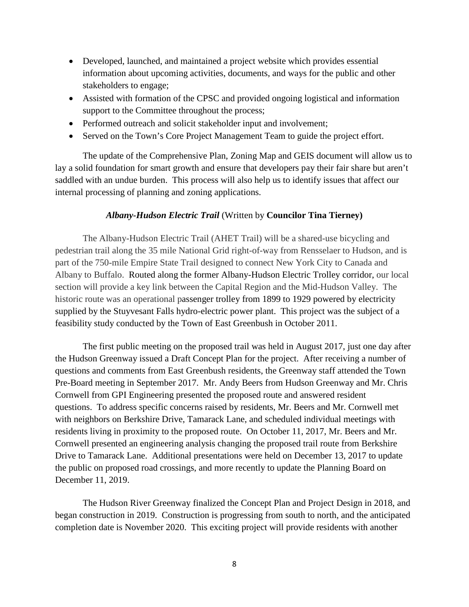- Developed, launched, and maintained a project website which provides essential information about upcoming activities, documents, and ways for the public and other stakeholders to engage;
- Assisted with formation of the CPSC and provided ongoing logistical and information support to the Committee throughout the process;
- Performed outreach and solicit stakeholder input and involvement;
- Served on the Town's Core Project Management Team to guide the project effort.

The update of the Comprehensive Plan, Zoning Map and GEIS document will allow us to lay a solid foundation for smart growth and ensure that developers pay their fair share but aren't saddled with an undue burden. This process will also help us to identify issues that affect our internal processing of planning and zoning applications.

### *Albany-Hudson Electric Trail* (Written by **Councilor Tina Tierney)**

 The Albany-Hudson Electric Trail (AHET Trail) will be a shared-use bicycling and pedestrian trail along the 35 mile National Grid right-of-way from Rensselaer to Hudson, and is part of the 750-mile Empire State Trail designed to connect New York City to Canada and Albany to Buffalo. Routed along the former Albany-Hudson Electric Trolley corridor, our local section will provide a key link between the Capital Region and the Mid-Hudson Valley. The historic route was an operational passenger trolley from 1899 to 1929 powered by electricity supplied by the Stuyvesant Falls hydro-electric power plant. This project was the subject of a feasibility study conducted by the Town of East Greenbush in October 2011.

 The first public meeting on the proposed trail was held in August 2017, just one day after the Hudson Greenway issued a Draft Concept Plan for the project. After receiving a number of questions and comments from East Greenbush residents, the Greenway staff attended the Town Pre-Board meeting in September 2017. Mr. Andy Beers from Hudson Greenway and Mr. Chris Cornwell from GPI Engineering presented the proposed route and answered resident questions. To address specific concerns raised by residents, Mr. Beers and Mr. Cornwell met with neighbors on Berkshire Drive, Tamarack Lane, and scheduled individual meetings with residents living in proximity to the proposed route. On October 11, 2017, Mr. Beers and Mr. Cornwell presented an engineering analysis changing the proposed trail route from Berkshire Drive to Tamarack Lane. Additional presentations were held on December 13, 2017 to update the public on proposed road crossings, and more recently to update the Planning Board on December 11, 2019.

 The Hudson River Greenway finalized the Concept Plan and Project Design in 2018, and began construction in 2019. Construction is progressing from south to north, and the anticipated completion date is November 2020. This exciting project will provide residents with another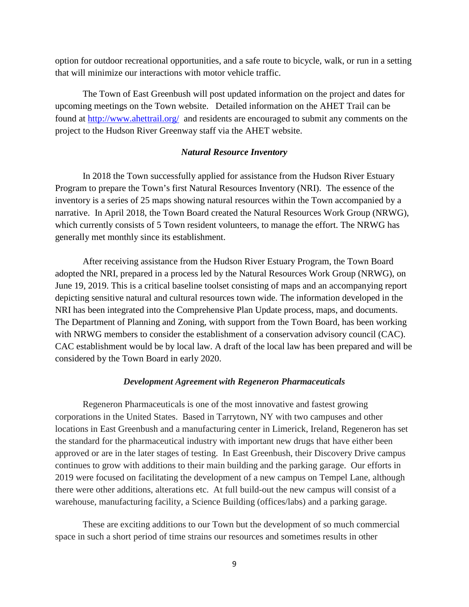option for outdoor recreational opportunities, and a safe route to bicycle, walk, or run in a setting that will minimize our interactions with motor vehicle traffic.

 The Town of East Greenbush will post updated information on the project and dates for upcoming meetings on the Town website. Detailed information on the AHET Trail can be found at <http://www.ahettrail.org/> and residents are encouraged to submit any comments on the project to the Hudson River Greenway staff via the AHET website.

### *Natural Resource Inventory*

In 2018 the Town successfully applied for assistance from the Hudson River Estuary Program to prepare the Town's first Natural Resources Inventory (NRI). The essence of the inventory is a series of 25 maps showing natural resources within the Town accompanied by a narrative. In April 2018, the Town Board created the Natural Resources Work Group (NRWG), which currently consists of 5 Town resident volunteers, to manage the effort. The NRWG has generally met monthly since its establishment.

After receiving assistance from the Hudson River Estuary Program, the Town Board adopted the NRI, prepared in a process led by the Natural Resources Work Group (NRWG), on June 19, 2019. This is a critical baseline toolset consisting of maps and an accompanying report depicting sensitive natural and cultural resources town wide. The information developed in the NRI has been integrated into the Comprehensive Plan Update process, maps, and documents. The Department of Planning and Zoning, with support from the Town Board, has been working with NRWG members to consider the establishment of a conservation advisory council (CAC). CAC establishment would be by local law. A draft of the local law has been prepared and will be considered by the Town Board in early 2020.

#### *Development Agreement with Regeneron Pharmaceuticals*

Regeneron Pharmaceuticals is one of the most innovative and fastest growing corporations in the United States. Based in Tarrytown, NY with two campuses and other locations in East Greenbush and a manufacturing center in Limerick, Ireland, Regeneron has set the standard for the pharmaceutical industry with important new drugs that have either been approved or are in the later stages of testing. In East Greenbush, their Discovery Drive campus continues to grow with additions to their main building and the parking garage. Our efforts in 2019 were focused on facilitating the development of a new campus on Tempel Lane, although there were other additions, alterations etc. At full build-out the new campus will consist of a warehouse, manufacturing facility, a Science Building (offices/labs) and a parking garage.

These are exciting additions to our Town but the development of so much commercial space in such a short period of time strains our resources and sometimes results in other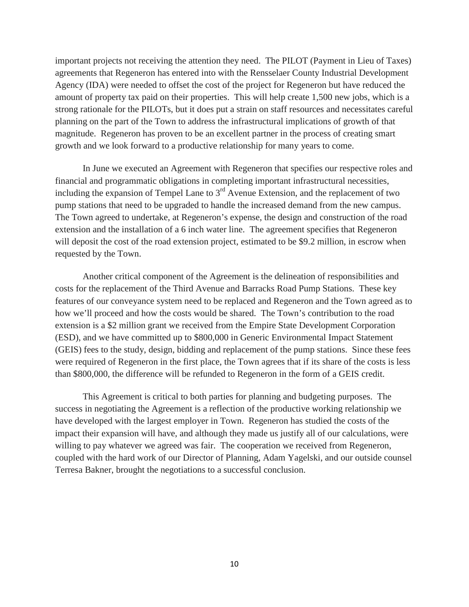important projects not receiving the attention they need. The PILOT (Payment in Lieu of Taxes) agreements that Regeneron has entered into with the Rensselaer County Industrial Development Agency (IDA) were needed to offset the cost of the project for Regeneron but have reduced the amount of property tax paid on their properties. This will help create 1,500 new jobs, which is a strong rationale for the PILOTs, but it does put a strain on staff resources and necessitates careful planning on the part of the Town to address the infrastructural implications of growth of that magnitude. Regeneron has proven to be an excellent partner in the process of creating smart growth and we look forward to a productive relationship for many years to come.

In June we executed an Agreement with Regeneron that specifies our respective roles and financial and programmatic obligations in completing important infrastructural necessities, including the expansion of Tempel Lane to  $3<sup>rd</sup>$  Avenue Extension, and the replacement of two pump stations that need to be upgraded to handle the increased demand from the new campus. The Town agreed to undertake, at Regeneron's expense, the design and construction of the road extension and the installation of a 6 inch water line. The agreement specifies that Regeneron will deposit the cost of the road extension project, estimated to be \$9.2 million, in escrow when requested by the Town.

Another critical component of the Agreement is the delineation of responsibilities and costs for the replacement of the Third Avenue and Barracks Road Pump Stations. These key features of our conveyance system need to be replaced and Regeneron and the Town agreed as to how we'll proceed and how the costs would be shared. The Town's contribution to the road extension is a \$2 million grant we received from the Empire State Development Corporation (ESD), and we have committed up to \$800,000 in Generic Environmental Impact Statement (GEIS) fees to the study, design, bidding and replacement of the pump stations. Since these fees were required of Regeneron in the first place, the Town agrees that if its share of the costs is less than \$800,000, the difference will be refunded to Regeneron in the form of a GEIS credit.

This Agreement is critical to both parties for planning and budgeting purposes. The success in negotiating the Agreement is a reflection of the productive working relationship we have developed with the largest employer in Town. Regeneron has studied the costs of the impact their expansion will have, and although they made us justify all of our calculations, were willing to pay whatever we agreed was fair. The cooperation we received from Regeneron, coupled with the hard work of our Director of Planning, Adam Yagelski, and our outside counsel Terresa Bakner, brought the negotiations to a successful conclusion.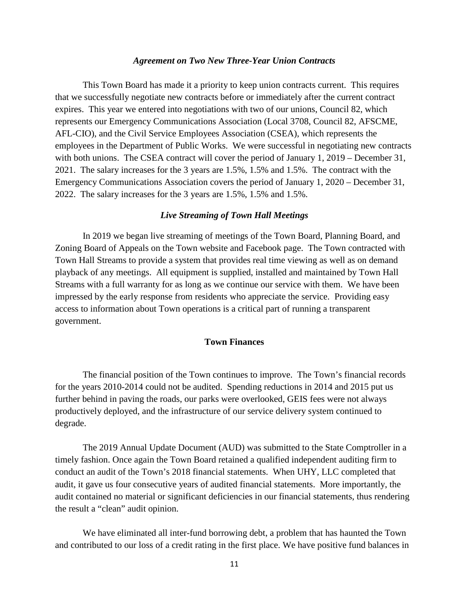#### *Agreement on Two New Three-Year Union Contracts*

This Town Board has made it a priority to keep union contracts current. This requires that we successfully negotiate new contracts before or immediately after the current contract expires. This year we entered into negotiations with two of our unions, Council 82, which represents our Emergency Communications Association (Local 3708, Council 82, AFSCME, AFL-CIO), and the Civil Service Employees Association (CSEA), which represents the employees in the Department of Public Works. We were successful in negotiating new contracts with both unions. The CSEA contract will cover the period of January 1, 2019 – December 31, 2021. The salary increases for the 3 years are 1.5%, 1.5% and 1.5%. The contract with the Emergency Communications Association covers the period of January 1, 2020 – December 31, 2022. The salary increases for the 3 years are 1.5%, 1.5% and 1.5%.

### *Live Streaming of Town Hall Meetings*

In 2019 we began live streaming of meetings of the Town Board, Planning Board, and Zoning Board of Appeals on the Town website and Facebook page. The Town contracted with Town Hall Streams to provide a system that provides real time viewing as well as on demand playback of any meetings. All equipment is supplied, installed and maintained by Town Hall Streams with a full warranty for as long as we continue our service with them. We have been impressed by the early response from residents who appreciate the service. Providing easy access to information about Town operations is a critical part of running a transparent government.

### **Town Finances**

The financial position of the Town continues to improve. The Town's financial records for the years 2010-2014 could not be audited. Spending reductions in 2014 and 2015 put us further behind in paving the roads, our parks were overlooked, GEIS fees were not always productively deployed, and the infrastructure of our service delivery system continued to degrade.

The 2019 Annual Update Document (AUD) was submitted to the State Comptroller in a timely fashion. Once again the Town Board retained a qualified independent auditing firm to conduct an audit of the Town's 2018 financial statements. When UHY, LLC completed that audit, it gave us four consecutive years of audited financial statements. More importantly, the audit contained no material or significant deficiencies in our financial statements, thus rendering the result a "clean" audit opinion.

We have eliminated all inter-fund borrowing debt, a problem that has haunted the Town and contributed to our loss of a credit rating in the first place. We have positive fund balances in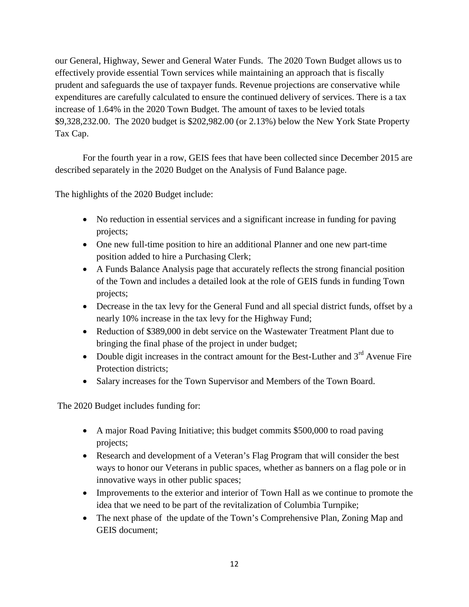our General, Highway, Sewer and General Water Funds. The 2020 Town Budget allows us to effectively provide essential Town services while maintaining an approach that is fiscally prudent and safeguards the use of taxpayer funds. Revenue projections are conservative while expenditures are carefully calculated to ensure the continued delivery of services. There is a tax increase of 1.64% in the 2020 Town Budget. The amount of taxes to be levied totals \$9,328,232.00. The 2020 budget is \$202,982.00 (or 2.13%) below the New York State Property Tax Cap.

For the fourth year in a row, GEIS fees that have been collected since December 2015 are described separately in the 2020 Budget on the Analysis of Fund Balance page.

The highlights of the 2020 Budget include:

- No reduction in essential services and a significant increase in funding for paving projects;
- One new full-time position to hire an additional Planner and one new part-time position added to hire a Purchasing Clerk;
- A Funds Balance Analysis page that accurately reflects the strong financial position of the Town and includes a detailed look at the role of GEIS funds in funding Town projects;
- Decrease in the tax levy for the General Fund and all special district funds, offset by a nearly 10% increase in the tax levy for the Highway Fund;
- Reduction of \$389,000 in debt service on the Wastewater Treatment Plant due to bringing the final phase of the project in under budget;
- Double digit increases in the contract amount for the Best-Luther and  $3<sup>rd</sup>$  Avenue Fire Protection districts;
- Salary increases for the Town Supervisor and Members of the Town Board.

The 2020 Budget includes funding for:

- A major Road Paving Initiative; this budget commits \$500,000 to road paving projects;
- Research and development of a Veteran's Flag Program that will consider the best ways to honor our Veterans in public spaces, whether as banners on a flag pole or in innovative ways in other public spaces;
- Improvements to the exterior and interior of Town Hall as we continue to promote the idea that we need to be part of the revitalization of Columbia Turnpike;
- The next phase of the update of the Town's Comprehensive Plan, Zoning Map and GEIS document;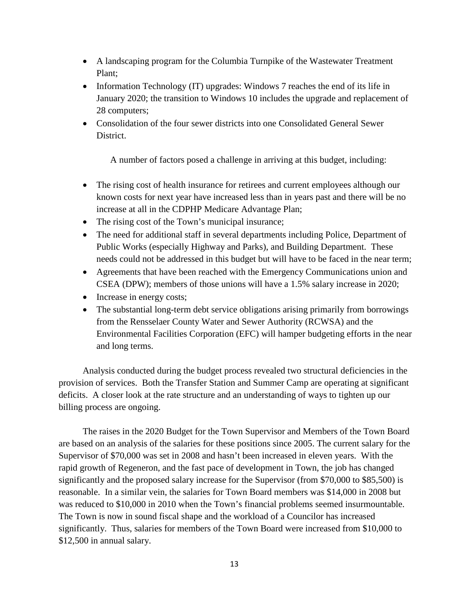- A landscaping program for the Columbia Turnpike of the Wastewater Treatment Plant;
- Information Technology (IT) upgrades: Windows 7 reaches the end of its life in January 2020; the transition to Windows 10 includes the upgrade and replacement of 28 computers;
- Consolidation of the four sewer districts into one Consolidated General Sewer District.

A number of factors posed a challenge in arriving at this budget, including:

- The rising cost of health insurance for retirees and current employees although our known costs for next year have increased less than in years past and there will be no increase at all in the CDPHP Medicare Advantage Plan;
- The rising cost of the Town's municipal insurance;
- The need for additional staff in several departments including Police, Department of Public Works (especially Highway and Parks), and Building Department. These needs could not be addressed in this budget but will have to be faced in the near term;
- Agreements that have been reached with the Emergency Communications union and CSEA (DPW); members of those unions will have a 1.5% salary increase in 2020;
- Increase in energy costs;
- The substantial long-term debt service obligations arising primarily from borrowings from the Rensselaer County Water and Sewer Authority (RCWSA) and the Environmental Facilities Corporation (EFC) will hamper budgeting efforts in the near and long terms.

Analysis conducted during the budget process revealed two structural deficiencies in the provision of services. Both the Transfer Station and Summer Camp are operating at significant deficits. A closer look at the rate structure and an understanding of ways to tighten up our billing process are ongoing.

The raises in the 2020 Budget for the Town Supervisor and Members of the Town Board are based on an analysis of the salaries for these positions since 2005. The current salary for the Supervisor of \$70,000 was set in 2008 and hasn't been increased in eleven years. With the rapid growth of Regeneron, and the fast pace of development in Town, the job has changed significantly and the proposed salary increase for the Supervisor (from \$70,000 to \$85,500) is reasonable. In a similar vein, the salaries for Town Board members was \$14,000 in 2008 but was reduced to \$10,000 in 2010 when the Town's financial problems seemed insurmountable. The Town is now in sound fiscal shape and the workload of a Councilor has increased significantly. Thus, salaries for members of the Town Board were increased from \$10,000 to \$12,500 in annual salary.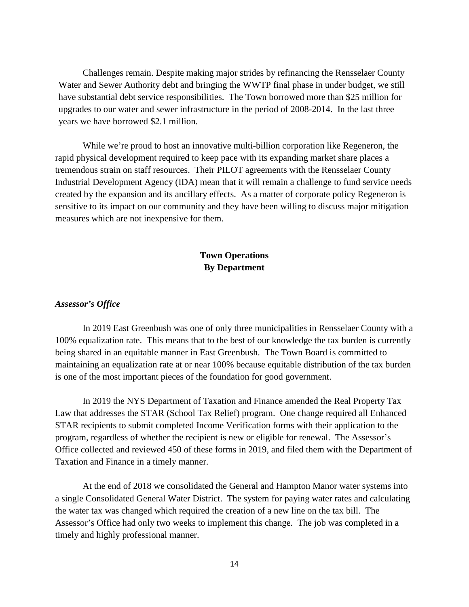Challenges remain. Despite making major strides by refinancing the Rensselaer County Water and Sewer Authority debt and bringing the WWTP final phase in under budget, we still have substantial debt service responsibilities. The Town borrowed more than \$25 million for upgrades to our water and sewer infrastructure in the period of 2008-2014. In the last three years we have borrowed \$2.1 million.

While we're proud to host an innovative multi-billion corporation like Regeneron, the rapid physical development required to keep pace with its expanding market share places a tremendous strain on staff resources. Their PILOT agreements with the Rensselaer County Industrial Development Agency (IDA) mean that it will remain a challenge to fund service needs created by the expansion and its ancillary effects. As a matter of corporate policy Regeneron is sensitive to its impact on our community and they have been willing to discuss major mitigation measures which are not inexpensive for them.

# **Town Operations By Department**

### *Assessor's Office*

In 2019 East Greenbush was one of only three municipalities in Rensselaer County with a 100% equalization rate. This means that to the best of our knowledge the tax burden is currently being shared in an equitable manner in East Greenbush. The Town Board is committed to maintaining an equalization rate at or near 100% because equitable distribution of the tax burden is one of the most important pieces of the foundation for good government.

In 2019 the NYS Department of Taxation and Finance amended the Real Property Tax Law that addresses the STAR (School Tax Relief) program. One change required all Enhanced STAR recipients to submit completed Income Verification forms with their application to the program, regardless of whether the recipient is new or eligible for renewal. The Assessor's Office collected and reviewed 450 of these forms in 2019, and filed them with the Department of Taxation and Finance in a timely manner.

At the end of 2018 we consolidated the General and Hampton Manor water systems into a single Consolidated General Water District. The system for paying water rates and calculating the water tax was changed which required the creation of a new line on the tax bill. The Assessor's Office had only two weeks to implement this change. The job was completed in a timely and highly professional manner.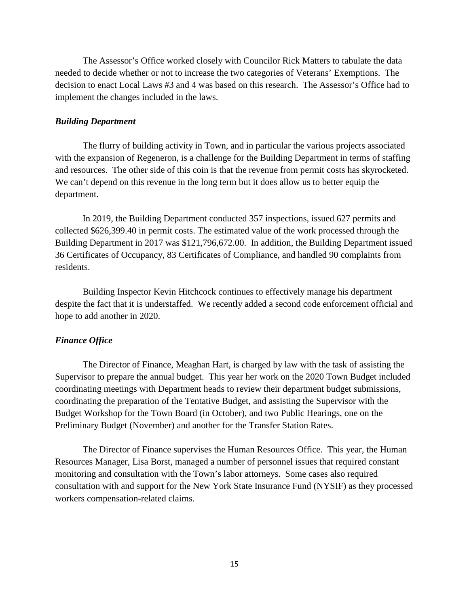The Assessor's Office worked closely with Councilor Rick Matters to tabulate the data needed to decide whether or not to increase the two categories of Veterans' Exemptions. The decision to enact Local Laws #3 and 4 was based on this research. The Assessor's Office had to implement the changes included in the laws.

### *Building Department*

The flurry of building activity in Town, and in particular the various projects associated with the expansion of Regeneron, is a challenge for the Building Department in terms of staffing and resources. The other side of this coin is that the revenue from permit costs has skyrocketed. We can't depend on this revenue in the long term but it does allow us to better equip the department.

In 2019, the Building Department conducted 357 inspections, issued 627 permits and collected \$626,399.40 in permit costs. The estimated value of the work processed through the Building Department in 2017 was \$121,796,672.00. In addition, the Building Department issued 36 Certificates of Occupancy, 83 Certificates of Compliance, and handled 90 complaints from residents.

Building Inspector Kevin Hitchcock continues to effectively manage his department despite the fact that it is understaffed. We recently added a second code enforcement official and hope to add another in 2020.

### *Finance Office*

The Director of Finance, Meaghan Hart, is charged by law with the task of assisting the Supervisor to prepare the annual budget. This year her work on the 2020 Town Budget included coordinating meetings with Department heads to review their department budget submissions, coordinating the preparation of the Tentative Budget, and assisting the Supervisor with the Budget Workshop for the Town Board (in October), and two Public Hearings, one on the Preliminary Budget (November) and another for the Transfer Station Rates.

The Director of Finance supervises the Human Resources Office. This year, the Human Resources Manager, Lisa Borst, managed a number of personnel issues that required constant monitoring and consultation with the Town's labor attorneys. Some cases also required consultation with and support for the New York State Insurance Fund (NYSIF) as they processed workers compensation-related claims.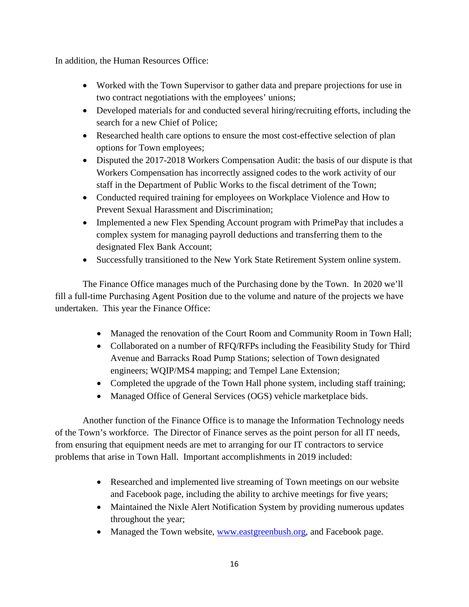In addition, the Human Resources Office:

- Worked with the Town Supervisor to gather data and prepare projections for use in two contract negotiations with the employees' unions;
- Developed materials for and conducted several hiring/recruiting efforts, including the search for a new Chief of Police;
- Researched health care options to ensure the most cost-effective selection of plan options for Town employees;
- Disputed the 2017-2018 Workers Compensation Audit: the basis of our dispute is that Workers Compensation has incorrectly assigned codes to the work activity of our staff in the Department of Public Works to the fiscal detriment of the Town;
- Conducted required training for employees on Workplace Violence and How to Prevent Sexual Harassment and Discrimination;
- Implemented a new Flex Spending Account program with PrimePay that includes a complex system for managing payroll deductions and transferring them to the designated Flex Bank Account;
- Successfully transitioned to the New York State Retirement System online system.

The Finance Office manages much of the Purchasing done by the Town. In 2020 we'll fill a full-time Purchasing Agent Position due to the volume and nature of the projects we have undertaken. This year the Finance Office:

- Managed the renovation of the Court Room and Community Room in Town Hall;
- Collaborated on a number of RFQ/RFPs including the Feasibility Study for Third Avenue and Barracks Road Pump Stations; selection of Town designated engineers; WQIP/MS4 mapping; and Tempel Lane Extension;
- Completed the upgrade of the Town Hall phone system, including staff training;
- Managed Office of General Services (OGS) vehicle marketplace bids.

Another function of the Finance Office is to manage the Information Technology needs of the Town's workforce. The Director of Finance serves as the point person for all IT needs, from ensuring that equipment needs are met to arranging for our IT contractors to service problems that arise in Town Hall. Important accomplishments in 2019 included:

- Researched and implemented live streaming of Town meetings on our website and Facebook page, including the ability to archive meetings for five years;
- Maintained the Nixle Alert Notification System by providing numerous updates throughout the year;
- Managed the Town website, [www.eastgreenbush.org,](http://www.eastgreenbush.org/) and Facebook page.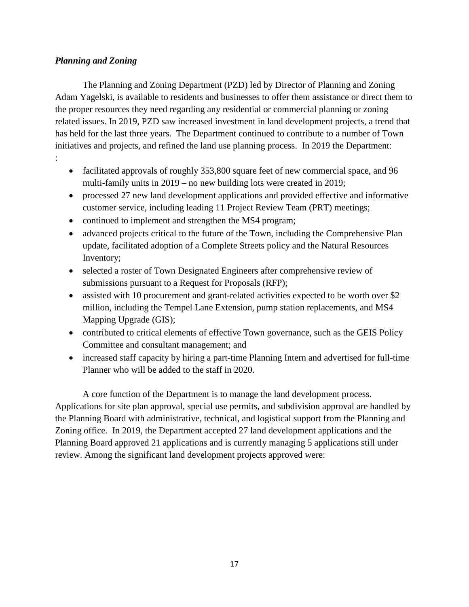### *Planning and Zoning*

The Planning and Zoning Department (PZD) led by Director of Planning and Zoning Adam Yagelski, is available to residents and businesses to offer them assistance or direct them to the proper resources they need regarding any residential or commercial planning or zoning related issues. In 2019, PZD saw increased investment in land development projects, a trend that has held for the last three years. The Department continued to contribute to a number of Town initiatives and projects, and refined the land use planning process. In 2019 the Department: :

- facilitated approvals of roughly 353,800 square feet of new commercial space, and 96 multi-family units in 2019 – no new building lots were created in 2019;
- processed 27 new land development applications and provided effective and informative customer service, including leading 11 Project Review Team (PRT) meetings;
- continued to implement and strengthen the MS4 program;
- advanced projects critical to the future of the Town, including the Comprehensive Plan update, facilitated adoption of a Complete Streets policy and the Natural Resources Inventory;
- selected a roster of Town Designated Engineers after comprehensive review of submissions pursuant to a Request for Proposals (RFP);
- assisted with 10 procurement and grant-related activities expected to be worth over \$2 million, including the Tempel Lane Extension, pump station replacements, and MS4 Mapping Upgrade (GIS);
- contributed to critical elements of effective Town governance, such as the GEIS Policy Committee and consultant management; and
- increased staff capacity by hiring a part-time Planning Intern and advertised for full-time Planner who will be added to the staff in 2020.

A core function of the Department is to manage the land development process. Applications for site plan approval, special use permits, and subdivision approval are handled by the Planning Board with administrative, technical, and logistical support from the Planning and Zoning office. In 2019, the Department accepted 27 land development applications and the Planning Board approved 21 applications and is currently managing 5 applications still under review. Among the significant land development projects approved were: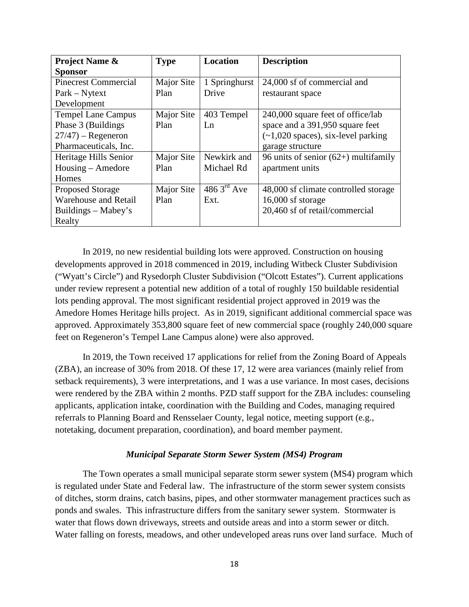| <b>Project Name &amp;</b>   | <b>Type</b> | Location      | <b>Description</b>                     |
|-----------------------------|-------------|---------------|----------------------------------------|
| <b>Sponsor</b>              |             |               |                                        |
| <b>Pinecrest Commercial</b> | Major Site  | 1 Springhurst | 24,000 sf of commercial and            |
| $Park - Nytext$             | Plan        | Drive         | restaurant space                       |
| Development                 |             |               |                                        |
| <b>Tempel Lane Campus</b>   | Major Site  | 403 Tempel    | 240,000 square feet of office/lab      |
| Phase 3 (Buildings          | Plan        | Ln            | space and a 391,950 square feet        |
| $27/47$ ) – Regeneron       |             |               | $(-1,020$ spaces), six-level parking   |
| Pharmaceuticals, Inc.       |             |               | garage structure                       |
| Heritage Hills Senior       | Major Site  | Newkirk and   | 96 units of senior $(62+)$ multifamily |
| $Housing - Amedore$         | Plan        | Michael Rd    | apartment units                        |
| Homes                       |             |               |                                        |
| <b>Proposed Storage</b>     | Major Site  | 486 $3rd$ Ave | 48,000 sf climate controlled storage   |
| Warehouse and Retail        | Plan        | Ext.          | $16,000$ sf storage                    |
| Buildings – Mabey's         |             |               | 20,460 sf of retail/commercial         |
| Realty                      |             |               |                                        |

In 2019, no new residential building lots were approved. Construction on housing developments approved in 2018 commenced in 2019, including Witbeck Cluster Subdivision ("Wyatt's Circle") and Rysedorph Cluster Subdivision ("Olcott Estates"). Current applications under review represent a potential new addition of a total of roughly 150 buildable residential lots pending approval. The most significant residential project approved in 2019 was the Amedore Homes Heritage hills project. As in 2019, significant additional commercial space was approved. Approximately 353,800 square feet of new commercial space (roughly 240,000 square feet on Regeneron's Tempel Lane Campus alone) were also approved.

In 2019, the Town received 17 applications for relief from the Zoning Board of Appeals (ZBA), an increase of 30% from 2018. Of these 17, 12 were area variances (mainly relief from setback requirements), 3 were interpretations, and 1 was a use variance. In most cases, decisions were rendered by the ZBA within 2 months. PZD staff support for the ZBA includes: counseling applicants, application intake, coordination with the Building and Codes, managing required referrals to Planning Board and Rensselaer County, legal notice, meeting support (e.g., notetaking, document preparation, coordination), and board member payment.

### *Municipal Separate Storm Sewer System (MS4) Program*

The Town operates a small municipal separate storm sewer system (MS4) program which is regulated under State and Federal law. The infrastructure of the storm sewer system consists of ditches, storm drains, catch basins, pipes, and other stormwater management practices such as ponds and swales. This infrastructure differs from the sanitary sewer system. Stormwater is water that flows down driveways, streets and outside areas and into a storm sewer or ditch. Water falling on forests, meadows, and other undeveloped areas runs over land surface. Much of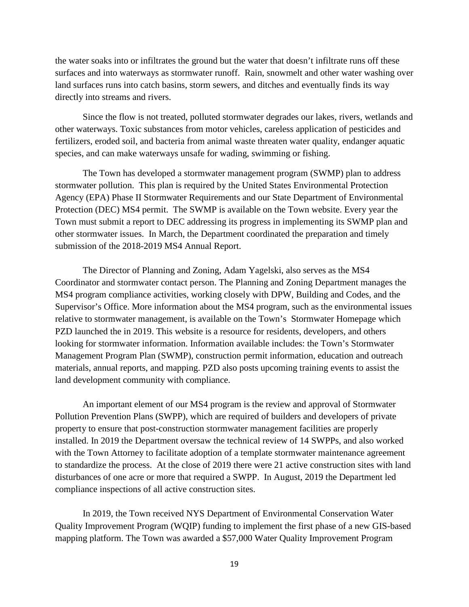the water soaks into or infiltrates the ground but the water that doesn't infiltrate runs off these surfaces and into waterways as stormwater runoff. Rain, snowmelt and other water washing over land surfaces runs into catch basins, storm sewers, and ditches and eventually finds its way directly into streams and rivers.

Since the flow is not treated, polluted stormwater degrades our lakes, rivers, wetlands and other waterways. Toxic substances from motor vehicles, careless application of pesticides and fertilizers, eroded soil, and bacteria from animal waste threaten water quality, endanger aquatic species, and can make waterways unsafe for wading, swimming or fishing.

The Town has developed a stormwater management program (SWMP) plan to address stormwater pollution. This plan is required by the United States Environmental Protection Agency (EPA) Phase II Stormwater Requirements and our State Department of Environmental Protection (DEC) MS4 permit. The SWMP is available on the Town website. Every year the Town must submit a report to DEC addressing its progress in implementing its SWMP plan and other stormwater issues. In March, the Department coordinated the preparation and timely submission of the 2018-2019 MS4 Annual Report.

The Director of Planning and Zoning, Adam Yagelski, also serves as the MS4 Coordinator and stormwater contact person. The Planning and Zoning Department manages the MS4 program compliance activities, working closely with DPW, Building and Codes, and the Supervisor's Office. More information about the MS4 program, such as the environmental issues relative to stormwater management, is available on the Town's Stormwater Homepage which PZD launched the in 2019. This website is a resource for residents, developers, and others looking for stormwater information. Information available includes: the Town's Stormwater Management Program Plan (SWMP), construction permit information, education and outreach materials, annual reports, and mapping. PZD also posts upcoming training events to assist the land development community with compliance.

An important element of our MS4 program is the review and approval of Stormwater Pollution Prevention Plans (SWPP), which are required of builders and developers of private property to ensure that post-construction stormwater management facilities are properly installed. In 2019 the Department oversaw the technical review of 14 SWPPs, and also worked with the Town Attorney to facilitate adoption of a template stormwater maintenance agreement to standardize the process. At the close of 2019 there were 21 active construction sites with land disturbances of one acre or more that required a SWPP. In August, 2019 the Department led compliance inspections of all active construction sites.

In 2019, the Town received NYS Department of Environmental Conservation Water Quality Improvement Program (WQIP) funding to implement the first phase of a new GIS-based mapping platform. The Town was awarded a \$57,000 Water Quality Improvement Program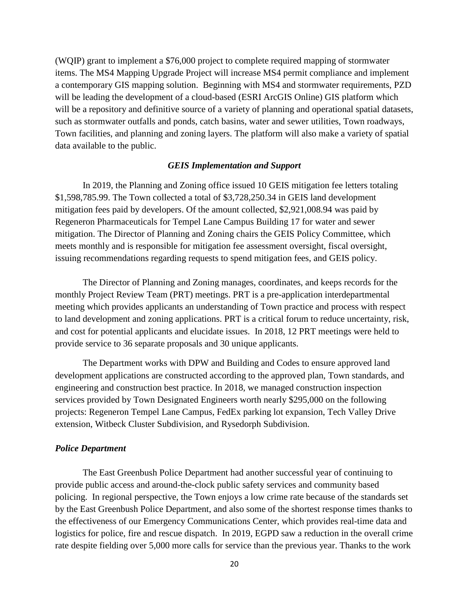(WQIP) grant to implement a \$76,000 project to complete required mapping of stormwater items. The MS4 Mapping Upgrade Project will increase MS4 permit compliance and implement a contemporary GIS mapping solution. Beginning with MS4 and stormwater requirements, PZD will be leading the development of a cloud-based (ESRI ArcGIS Online) GIS platform which will be a repository and definitive source of a variety of planning and operational spatial datasets, such as stormwater outfalls and ponds, catch basins, water and sewer utilities, Town roadways, Town facilities, and planning and zoning layers. The platform will also make a variety of spatial data available to the public.

### *GEIS Implementation and Support*

In 2019, the Planning and Zoning office issued 10 GEIS mitigation fee letters totaling \$1,598,785.99. The Town collected a total of \$3,728,250.34 in GEIS land development mitigation fees paid by developers. Of the amount collected, \$2,921,008.94 was paid by Regeneron Pharmaceuticals for Tempel Lane Campus Building 17 for water and sewer mitigation. The Director of Planning and Zoning chairs the GEIS Policy Committee, which meets monthly and is responsible for mitigation fee assessment oversight, fiscal oversight, issuing recommendations regarding requests to spend mitigation fees, and GEIS policy.

The Director of Planning and Zoning manages, coordinates, and keeps records for the monthly Project Review Team (PRT) meetings. PRT is a pre-application interdepartmental meeting which provides applicants an understanding of Town practice and process with respect to land development and zoning applications. PRT is a critical forum to reduce uncertainty, risk, and cost for potential applicants and elucidate issues. In 2018, 12 PRT meetings were held to provide service to 36 separate proposals and 30 unique applicants.

The Department works with DPW and Building and Codes to ensure approved land development applications are constructed according to the approved plan, Town standards, and engineering and construction best practice. In 2018, we managed construction inspection services provided by Town Designated Engineers worth nearly \$295,000 on the following projects: Regeneron Tempel Lane Campus, FedEx parking lot expansion, Tech Valley Drive extension, Witbeck Cluster Subdivision, and Rysedorph Subdivision.

#### *Police Department*

The East Greenbush Police Department had another successful year of continuing to provide public access and around-the-clock public safety services and community based policing. In regional perspective, the Town enjoys a low crime rate because of the standards set by the East Greenbush Police Department, and also some of the shortest response times thanks to the effectiveness of our Emergency Communications Center, which provides real-time data and logistics for police, fire and rescue dispatch. In 2019, EGPD saw a reduction in the overall crime rate despite fielding over 5,000 more calls for service than the previous year. Thanks to the work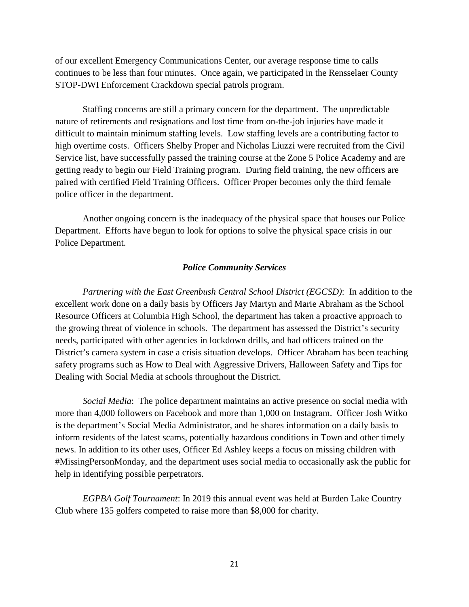of our excellent Emergency Communications Center, our average response time to calls continues to be less than four minutes. Once again, we participated in the Rensselaer County STOP-DWI Enforcement Crackdown special patrols program.

Staffing concerns are still a primary concern for the department. The unpredictable nature of retirements and resignations and lost time from on-the-job injuries have made it difficult to maintain minimum staffing levels. Low staffing levels are a contributing factor to high overtime costs. Officers Shelby Proper and Nicholas Liuzzi were recruited from the Civil Service list, have successfully passed the training course at the Zone 5 Police Academy and are getting ready to begin our Field Training program. During field training, the new officers are paired with certified Field Training Officers. Officer Proper becomes only the third female police officer in the department.

Another ongoing concern is the inadequacy of the physical space that houses our Police Department. Efforts have begun to look for options to solve the physical space crisis in our Police Department.

### *Police Community Services*

*Partnering with the East Greenbush Central School District (EGCSD)*: In addition to the excellent work done on a daily basis by Officers Jay Martyn and Marie Abraham as the School Resource Officers at Columbia High School, the department has taken a proactive approach to the growing threat of violence in schools. The department has assessed the District's security needs, participated with other agencies in lockdown drills, and had officers trained on the District's camera system in case a crisis situation develops. Officer Abraham has been teaching safety programs such as How to Deal with Aggressive Drivers, Halloween Safety and Tips for Dealing with Social Media at schools throughout the District.

*Social Media*: The police department maintains an active presence on social media with more than 4,000 followers on Facebook and more than 1,000 on Instagram. Officer Josh Witko is the department's Social Media Administrator, and he shares information on a daily basis to inform residents of the latest scams, potentially hazardous conditions in Town and other timely news. In addition to its other uses, Officer Ed Ashley keeps a focus on missing children with #MissingPersonMonday, and the department uses social media to occasionally ask the public for help in identifying possible perpetrators.

*EGPBA Golf Tournament*: In 2019 this annual event was held at Burden Lake Country Club where 135 golfers competed to raise more than \$8,000 for charity.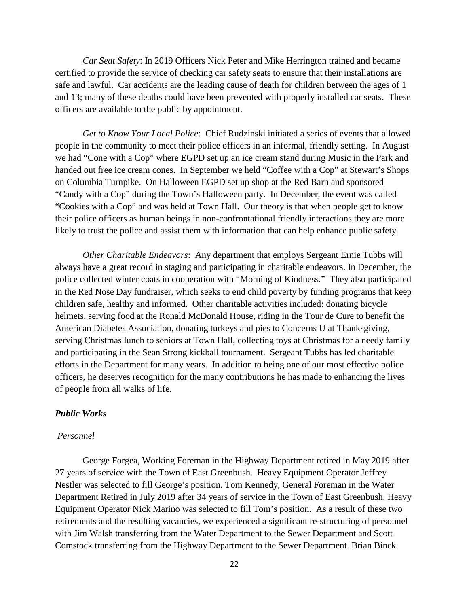*Car Seat Safety*: In 2019 Officers Nick Peter and Mike Herrington trained and became certified to provide the service of checking car safety seats to ensure that their installations are safe and lawful. Car accidents are the leading cause of death for children between the ages of 1 and 13; many of these deaths could have been prevented with properly installed car seats. These officers are available to the public by appointment.

*Get to Know Your Local Police*: Chief Rudzinski initiated a series of events that allowed people in the community to meet their police officers in an informal, friendly setting. In August we had "Cone with a Cop" where EGPD set up an ice cream stand during Music in the Park and handed out free ice cream cones. In September we held "Coffee with a Cop" at Stewart's Shops on Columbia Turnpike. On Halloween EGPD set up shop at the Red Barn and sponsored "Candy with a Cop" during the Town's Halloween party. In December, the event was called "Cookies with a Cop" and was held at Town Hall. Our theory is that when people get to know their police officers as human beings in non-confrontational friendly interactions they are more likely to trust the police and assist them with information that can help enhance public safety.

*Other Charitable Endeavors*: Any department that employs Sergeant Ernie Tubbs will always have a great record in staging and participating in charitable endeavors. In December, the police collected winter coats in cooperation with "Morning of Kindness." They also participated in the Red Nose Day fundraiser, which seeks to end child poverty by funding programs that keep children safe, healthy and informed. Other charitable activities included: donating bicycle helmets, serving food at the Ronald McDonald House, riding in the Tour de Cure to benefit the American Diabetes Association, donating turkeys and pies to Concerns U at Thanksgiving, serving Christmas lunch to seniors at Town Hall, collecting toys at Christmas for a needy family and participating in the Sean Strong kickball tournament. Sergeant Tubbs has led charitable efforts in the Department for many years. In addition to being one of our most effective police officers, he deserves recognition for the many contributions he has made to enhancing the lives of people from all walks of life.

### *Public Works*

#### *Personnel*

George Forgea, Working Foreman in the Highway Department retired in May 2019 after 27 years of service with the Town of East Greenbush. Heavy Equipment Operator Jeffrey Nestler was selected to fill George's position. Tom Kennedy, General Foreman in the Water Department Retired in July 2019 after 34 years of service in the Town of East Greenbush. Heavy Equipment Operator Nick Marino was selected to fill Tom's position. As a result of these two retirements and the resulting vacancies, we experienced a significant re-structuring of personnel with Jim Walsh transferring from the Water Department to the Sewer Department and Scott Comstock transferring from the Highway Department to the Sewer Department. Brian Binck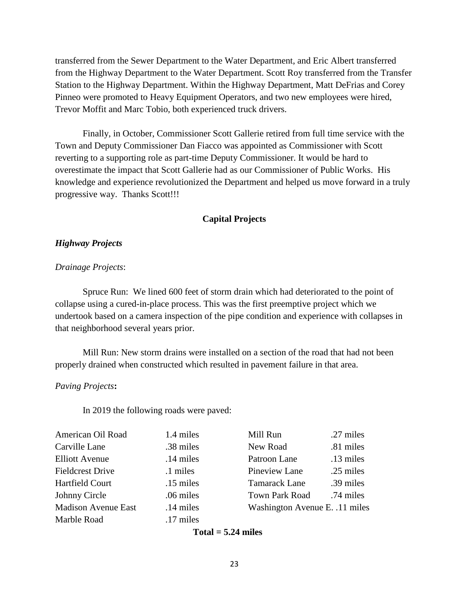transferred from the Sewer Department to the Water Department, and Eric Albert transferred from the Highway Department to the Water Department. Scott Roy transferred from the Transfer Station to the Highway Department. Within the Highway Department, Matt DeFrias and Corey Pinneo were promoted to Heavy Equipment Operators, and two new employees were hired, Trevor Moffit and Marc Tobio, both experienced truck drivers.

Finally, in October, Commissioner Scott Gallerie retired from full time service with the Town and Deputy Commissioner Dan Fiacco was appointed as Commissioner with Scott reverting to a supporting role as part-time Deputy Commissioner. It would be hard to overestimate the impact that Scott Gallerie had as our Commissioner of Public Works. His knowledge and experience revolutionized the Department and helped us move forward in a truly progressive way. Thanks Scott!!!

### **Capital Projects**

### *Highway Projects*

### *Drainage Projects*:

Spruce Run: We lined 600 feet of storm drain which had deteriorated to the point of collapse using a cured-in-place process. This was the first preemptive project which we undertook based on a camera inspection of the pipe condition and experience with collapses in that neighborhood several years prior.

Mill Run: New storm drains were installed on a section of the road that had not been properly drained when constructed which resulted in pavement failure in that area.

#### *Paving Projects***:**

In 2019 the following roads were paved:

| American Oil Road          | 1.4 miles   | Mill Run                       | .27 miles |
|----------------------------|-------------|--------------------------------|-----------|
| Carville Lane              | .38 miles   | New Road                       | .81 miles |
| <b>Elliott Avenue</b>      | .14 miles   | Patroon Lane                   | .13 miles |
| <b>Fieldcrest Drive</b>    | .1 miles    | Pineview Lane                  | .25 miles |
| Hartfield Court            | .15 miles   | <b>Tamarack Lane</b>           | .39 miles |
| Johnny Circle              | .06 miles   | <b>Town Park Road</b>          | .74 miles |
| <b>Madison Avenue East</b> | $.14$ miles | Washington Avenue E. .11 miles |           |
| Marble Road                | .17 miles   |                                |           |

**Total = 5.24 miles**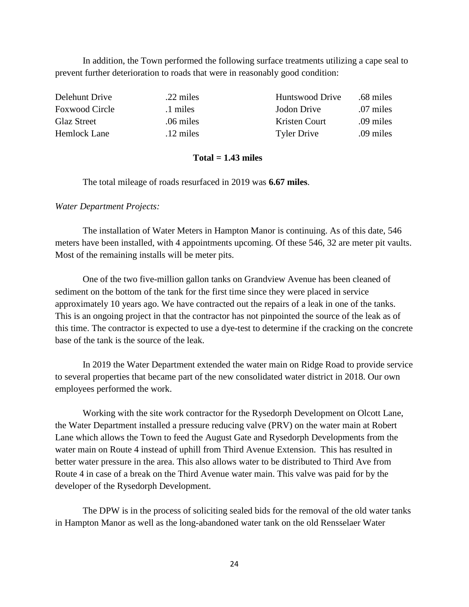In addition, the Town performed the following surface treatments utilizing a cape seal to prevent further deterioration to roads that were in reasonably good condition:

| Delehunt Drive        | .22 miles           | Huntswood Drive    | .68 miles   |
|-----------------------|---------------------|--------------------|-------------|
| <b>Foxwood Circle</b> | .1 miles            | Jodon Drive        | .07 miles   |
| <b>Glaz Street</b>    | .06 miles           | Kristen Court      | $.09$ miles |
| Hemlock Lane          | $.12 \text{ miles}$ | <b>Tyler Drive</b> | .09 miles   |

### **Total = 1.43 miles**

The total mileage of roads resurfaced in 2019 was **6.67 miles**.

*Water Department Projects:*

The installation of Water Meters in Hampton Manor is continuing. As of this date, 546 meters have been installed, with 4 appointments upcoming. Of these 546, 32 are meter pit vaults. Most of the remaining installs will be meter pits.

One of the two five-million gallon tanks on Grandview Avenue has been cleaned of sediment on the bottom of the tank for the first time since they were placed in service approximately 10 years ago. We have contracted out the repairs of a leak in one of the tanks. This is an ongoing project in that the contractor has not pinpointed the source of the leak as of this time. The contractor is expected to use a dye-test to determine if the cracking on the concrete base of the tank is the source of the leak.

In 2019 the Water Department extended the water main on Ridge Road to provide service to several properties that became part of the new consolidated water district in 2018. Our own employees performed the work.

Working with the site work contractor for the Rysedorph Development on Olcott Lane, the Water Department installed a pressure reducing valve (PRV) on the water main at Robert Lane which allows the Town to feed the August Gate and Rysedorph Developments from the water main on Route 4 instead of uphill from Third Avenue Extension. This has resulted in better water pressure in the area. This also allows water to be distributed to Third Ave from Route 4 in case of a break on the Third Avenue water main. This valve was paid for by the developer of the Rysedorph Development.

The DPW is in the process of soliciting sealed bids for the removal of the old water tanks in Hampton Manor as well as the long-abandoned water tank on the old Rensselaer Water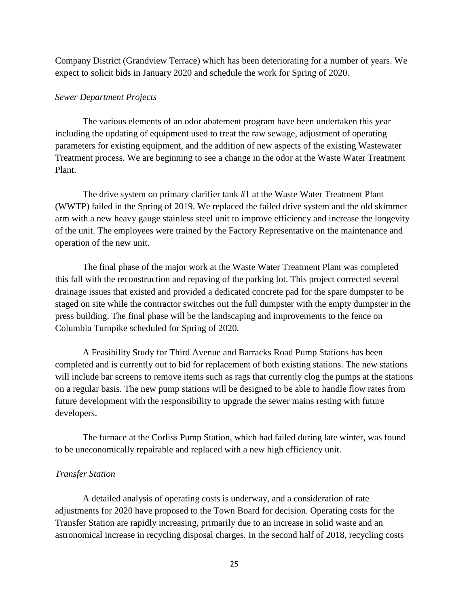Company District (Grandview Terrace) which has been deteriorating for a number of years. We expect to solicit bids in January 2020 and schedule the work for Spring of 2020.

### *Sewer Department Projects*

The various elements of an odor abatement program have been undertaken this year including the updating of equipment used to treat the raw sewage, adjustment of operating parameters for existing equipment, and the addition of new aspects of the existing Wastewater Treatment process. We are beginning to see a change in the odor at the Waste Water Treatment Plant.

The drive system on primary clarifier tank #1 at the Waste Water Treatment Plant (WWTP) failed in the Spring of 2019. We replaced the failed drive system and the old skimmer arm with a new heavy gauge stainless steel unit to improve efficiency and increase the longevity of the unit. The employees were trained by the Factory Representative on the maintenance and operation of the new unit.

The final phase of the major work at the Waste Water Treatment Plant was completed this fall with the reconstruction and repaving of the parking lot. This project corrected several drainage issues that existed and provided a dedicated concrete pad for the spare dumpster to be staged on site while the contractor switches out the full dumpster with the empty dumpster in the press building. The final phase will be the landscaping and improvements to the fence on Columbia Turnpike scheduled for Spring of 2020.

A Feasibility Study for Third Avenue and Barracks Road Pump Stations has been completed and is currently out to bid for replacement of both existing stations. The new stations will include bar screens to remove items such as rags that currently clog the pumps at the stations on a regular basis. The new pump stations will be designed to be able to handle flow rates from future development with the responsibility to upgrade the sewer mains resting with future developers.

The furnace at the Corliss Pump Station, which had failed during late winter, was found to be uneconomically repairable and replaced with a new high efficiency unit.

### *Transfer Station*

A detailed analysis of operating costs is underway, and a consideration of rate adjustments for 2020 have proposed to the Town Board for decision. Operating costs for the Transfer Station are rapidly increasing, primarily due to an increase in solid waste and an astronomical increase in recycling disposal charges. In the second half of 2018, recycling costs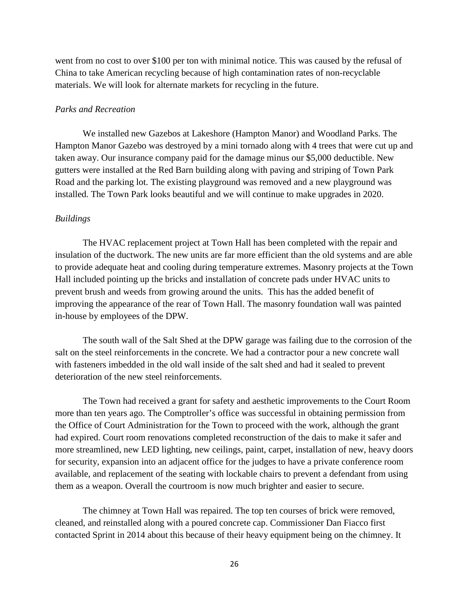went from no cost to over \$100 per ton with minimal notice. This was caused by the refusal of China to take American recycling because of high contamination rates of non-recyclable materials. We will look for alternate markets for recycling in the future.

### *Parks and Recreation*

We installed new Gazebos at Lakeshore (Hampton Manor) and Woodland Parks. The Hampton Manor Gazebo was destroyed by a mini tornado along with 4 trees that were cut up and taken away. Our insurance company paid for the damage minus our \$5,000 deductible. New gutters were installed at the Red Barn building along with paving and striping of Town Park Road and the parking lot. The existing playground was removed and a new playground was installed. The Town Park looks beautiful and we will continue to make upgrades in 2020.

### *Buildings*

The HVAC replacement project at Town Hall has been completed with the repair and insulation of the ductwork. The new units are far more efficient than the old systems and are able to provide adequate heat and cooling during temperature extremes. Masonry projects at the Town Hall included pointing up the bricks and installation of concrete pads under HVAC units to prevent brush and weeds from growing around the units. This has the added benefit of improving the appearance of the rear of Town Hall. The masonry foundation wall was painted in-house by employees of the DPW.

The south wall of the Salt Shed at the DPW garage was failing due to the corrosion of the salt on the steel reinforcements in the concrete. We had a contractor pour a new concrete wall with fasteners imbedded in the old wall inside of the salt shed and had it sealed to prevent deterioration of the new steel reinforcements.

The Town had received a grant for safety and aesthetic improvements to the Court Room more than ten years ago. The Comptroller's office was successful in obtaining permission from the Office of Court Administration for the Town to proceed with the work, although the grant had expired. Court room renovations completed reconstruction of the dais to make it safer and more streamlined, new LED lighting, new ceilings, paint, carpet, installation of new, heavy doors for security, expansion into an adjacent office for the judges to have a private conference room available, and replacement of the seating with lockable chairs to prevent a defendant from using them as a weapon. Overall the courtroom is now much brighter and easier to secure.

The chimney at Town Hall was repaired. The top ten courses of brick were removed, cleaned, and reinstalled along with a poured concrete cap. Commissioner Dan Fiacco first contacted Sprint in 2014 about this because of their heavy equipment being on the chimney. It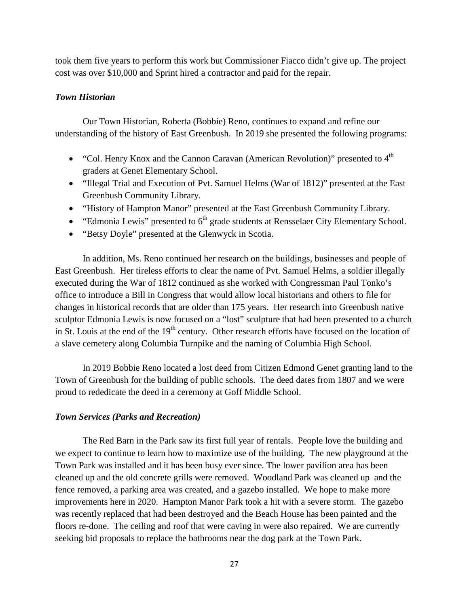took them five years to perform this work but Commissioner Fiacco didn't give up. The project cost was over \$10,000 and Sprint hired a contractor and paid for the repair.

### *Town Historian*

Our Town Historian, Roberta (Bobbie) Reno, continues to expand and refine our understanding of the history of East Greenbush. In 2019 she presented the following programs:

- "Col. Henry Knox and the Cannon Caravan (American Revolution)" presented to  $4<sup>th</sup>$ graders at Genet Elementary School.
- "Illegal Trial and Execution of Pvt. Samuel Helms (War of 1812)" presented at the East Greenbush Community Library.
- "History of Hampton Manor" presented at the East Greenbush Community Library.
- "Edmonia Lewis" presented to  $6<sup>th</sup>$  grade students at Rensselaer City Elementary School.
- "Betsy Doyle" presented at the Glenwyck in Scotia.

In addition, Ms. Reno continued her research on the buildings, businesses and people of East Greenbush. Her tireless efforts to clear the name of Pvt. Samuel Helms, a soldier illegally executed during the War of 1812 continued as she worked with Congressman Paul Tonko's office to introduce a Bill in Congress that would allow local historians and others to file for changes in historical records that are older than 175 years. Her research into Greenbush native sculptor Edmonia Lewis is now focused on a "lost" sculpture that had been presented to a church in St. Louis at the end of the  $19<sup>th</sup>$  century. Other research efforts have focused on the location of a slave cemetery along Columbia Turnpike and the naming of Columbia High School.

In 2019 Bobbie Reno located a lost deed from Citizen Edmond Genet granting land to the Town of Greenbush for the building of public schools. The deed dates from 1807 and we were proud to rededicate the deed in a ceremony at Goff Middle School.

### *Town Services (Parks and Recreation)*

The Red Barn in the Park saw its first full year of rentals. People love the building and we expect to continue to learn how to maximize use of the building. The new playground at the Town Park was installed and it has been busy ever since. The lower pavilion area has been cleaned up and the old concrete grills were removed. Woodland Park was cleaned up and the fence removed, a parking area was created, and a gazebo installed. We hope to make more improvements here in 2020. Hampton Manor Park took a hit with a severe storm. The gazebo was recently replaced that had been destroyed and the Beach House has been painted and the floors re-done. The ceiling and roof that were caving in were also repaired. We are currently seeking bid proposals to replace the bathrooms near the dog park at the Town Park.